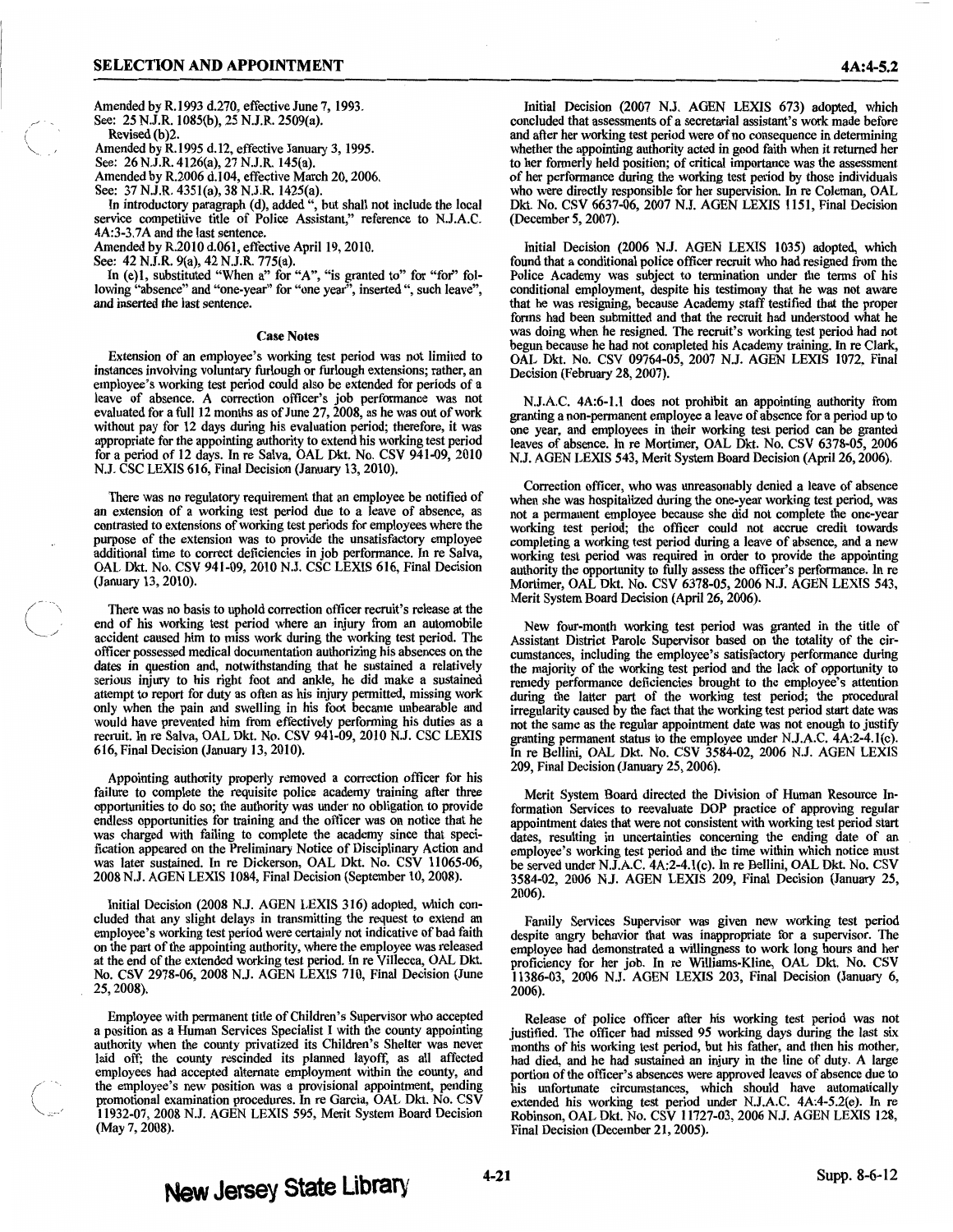Amended by R.l993 d.270, effective June 7, 1993. See: 25 N.J.R. 1085(b), 25 N.J.R. 2509(a).

Revised (b)2. Amended by R.l995 d.12, effective January 3, 1995.

( "'---·

See: 26 N.J.R. 4126(a), 27 N.J.R. 145(a).

Amended by R.2006 d.104, effective March 20, 2006.

See: 37 N.J.R. 435l(a), 38 N.J.R. 1425(a). In introductory paragraph (d), added ", but shall not include the local service competitive title of Police Assistant," reference to N.J.A.C. 4A:3-3.7A and the last sentence.

Amended by R.2010 d.061, effective April 19, 2010.

See: 42 N.J.R. 9(a), 42 N.J.R. 775(a).

In (e)1, substituted "When a" for "A", "is granted to" for "for" following "absence" and "one-year" for "one year", inserted ", such leave", and inserted the last sentence.

## Case Notes

Extension of an employee's working test period was not limited to instances involving voluntary furlough or furlough extensions; rather, an instances involving voluntary furlough or furlough extensions; rather, an employee's working test period could also be extended for periods of a leave of absence. A correction officer's job performance was not evaluated for a full 12 months as of June 27, 2008, as he was out of work without pay for 12 days during his evaluation period; therefore, it was appropriate for the appointing authority to extend his working test period for a period of 12 days. In re Salva, OAL Dkt. No. CSV 941-09, 2010 N.J. CSC LEXIS 616, Final Decision (January 13, 2010).

There was no regulatory requirement that an employee be notified of an extension of a working test period due to a leave of absence, as contrasted to extensions of working test periods for employees where the purpose of the extension was to provide the unsatisfactory employee additional time to correct deficiencies in job performance. In re Salva, OAL Dkt. No. CSV 941-09, 2010 N.J. CSC LEXIS 616, Final Decision (January 13, 2010).

There was no basis to uphold correction officer recruit's release at the end of his working test period where an injury from an automobile accident caused him to miss work during the working test period. The officer possessed medical documentation authorizing his absences on the dates in question and, notwithstanding that he sustained a relatively serious injury to his right foot and ankle, he did make a sustained attempt to report for duty as often as his injury permitted, missing work only when the pain and swelling in his foot became unbearable and recruit. In re Salva, OAL Dkt. No. CSV 941-09, 2010 N.J. CSC LEXIS 616, Final Decision (January 13, 2010).

Appointing authority properly removed a correction officer for his failure to complete the requisite police academy training after three opportunities to do so; the authority was under no obligation to provide was charged with failing to complete the academy since that specification appeared on the Preliminary Notice of Disciplinary Action and was later sustained. In re Dickerson, OAL Dkt. No. CSV 11065-06, 2008 N.J. AGEN LEXIS 1084, Final Decision (September 10, 2008).

Initial Decision (2008 N.J. AGEN LEXIS 316) adopted, which concluded that any slight delays in transmitting the request to extend an employee's working test period were certainly not indicative of bad faith on the part of at the end of the extended working test period. In re Villecca, OAL Dkt. No. CSV 2978-06, 2008 N.J. AGEN LEXIS 710, Final Decision (June 25, 2008).

Employee with permanent title of Children's Supervisor who accepted a position as a Human Services Specialist I with the county appointing laid off; the county rescinded its planned layoff, as all affected employees had accepted alternate employment within the county, and the employee's new position was a provisional appointment, pending promotional examination procedures. In re Garcia, OAL Dkt. No. CSV 11932-07, 2008 N.J. AGEN LEXIS *595,* Merit System Board Decision (May 7, 2008).

Initial Decision (2007 N.J. AGEN LEXIS 673) adopted, which concluded that assessments of a secretarial assistant's work made before and after her working test period were of no consequence in determining whether the appointing authority acted in good faith when it returned her to her formerly held position; of critical importance was the assessment of her performance during the working test period by those individuals who were directly responsible for her supervision. In re Coleman, OAL Dkt. No. CSV 6637-06, 2007 N.J. AGEN LEXIS 1151, Final Decision (December *5,* 2007).

Initial Decision (2006 N.J. AGEN LEXIS 1035) adopted, which found that a conditional police officer recruit who had resigned from the Police Academy was subject to termination under the terms of his conditional employment, despite his testimony that he was not aware that he was resigning, because Academy staff testified that the proper was doing when he resigned. The recruit's working test period had not begun because he had not completed his Academy training. In re Clark, OAL Dkt. No. CSV 09764-05, 2007 N.J. AGEN LEXIS 1072, Final Decision (February 28, 2007).

N.J.A.C. 4A:6-1.1 does not prohibit an appointing authority from granting a non-permanent employee a leave of absence for a period up to one year, and employees in their working test period can be granted leaves of absence. In re Mortimer, OAL Dkt. No. CSV 6378-05, 2006 N.J. AGEN LEXIS 543, Merit System Board Decision (April26, 2006).

Correction officer, who was unreasonably denied a leave of absence not a permanent employee because she did not complete the one-year working test period; the officer could not accrue credit towards completing a working test period during a leave of absence, and a new working test period was required in order to provide the appointing authority the opportunity to fully assess the officer's performance. In re Mortimer, OAL Dkt. No. CSV 6378-05, 2006 N.J. AGEN LEXIS 543, Merit System Board Decision (April 26, 2006).

New four-month working test period was granted in the title of Assistant District Parole Supervisor based on the totality of the circumstances, including the employee's satisfactory performance during the majority of the working test period and the lack of opportunity to remedy performance deficiencies brought to the employee's attention during the latter part of the working test period; the procedural irregularity caused by the fact that the working test period start date was not the same as the regular appointment date was not enough to justify granting permanent status to the employee under N.J.A.C. 4A:2-4.l(c). In re Bellini, OAL Dkt. No. CSV 3584-02, 2006 N.J. AGEN LEXIS 209, Final Decision (January 25, 2006).

Merit System Board directed the Division of Human Resource Information Services to reevaluate DOP practice of approving regular appointment dates that were not consistent with working test period start dates, resulting in uncertainties concerning the ending date of an dates, resulting in uncertainties concerning the ending date of an employee's working test period and the time within which notice must be served under N.J.A.C. 4A:2-4.l(c). In re Bellini, OAL Dkt. No. CSV 3584-02, 2006 N.J. AGEN LEXIS 209, Final Decision (January 25, 2006).

Family Services Supervisor was given new working test period despite angry behavior that was inappropriate for a supervisor. The employee had demonstrated a willingness to work long hours and her proficiency for her job. In re Williams-Kline, OAL Dkt. No. CSV 11386-03, 2006 NJ. AGEN LEXIS 203, Final Decision (January 6, 2006).

Release of police officer after his working test period was not justified. The officer had missed *95* working days during the last six months of his working test period, but his father, and then his mother, had died, and be had sustained an injury in the line of duty. A large portion of the officer's absences were approved leaves of absence due to his unfortunate circumstances, which should have automatically extended his working test period under N.J.A.C. 4A:4-5.2(e). In re Robinson, OAL Dkt. No. CSV 11727-03, 2006 N.J. AGEN LEXIS 128, Final Decision (December 21, 2005).